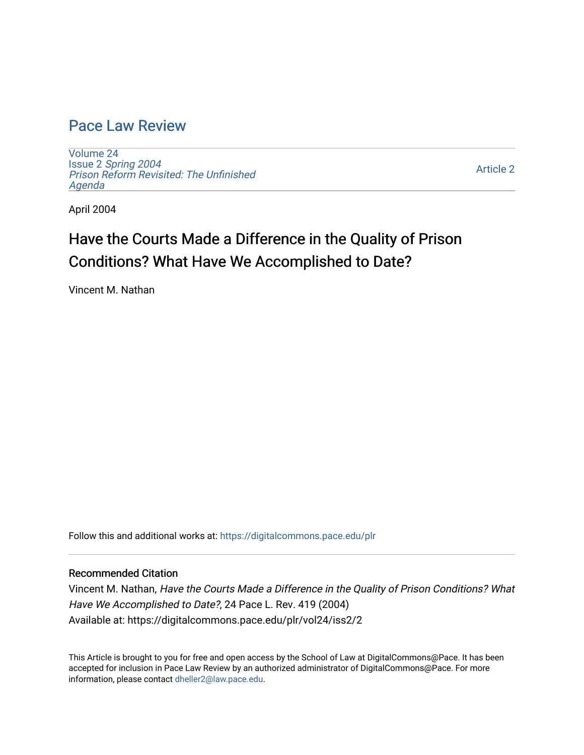### [Pace Law Review](https://digitalcommons.pace.edu/plr)

[Volume 24](https://digitalcommons.pace.edu/plr/vol24) Issue 2 [Spring 2004](https://digitalcommons.pace.edu/plr/vol24/iss2)  [Prison Reform Revisited: The Unfinished](https://digitalcommons.pace.edu/plr/vol24/iss2)  [Agenda](https://digitalcommons.pace.edu/plr/vol24/iss2)

[Article 2](https://digitalcommons.pace.edu/plr/vol24/iss2/2) 

April 2004

# Have the Courts Made a Difference in the Quality of Prison Conditions? What Have We Accomplished to Date?

Vincent M. Nathan

Follow this and additional works at: [https://digitalcommons.pace.edu/plr](https://digitalcommons.pace.edu/plr?utm_source=digitalcommons.pace.edu%2Fplr%2Fvol24%2Fiss2%2F2&utm_medium=PDF&utm_campaign=PDFCoverPages)

#### Recommended Citation

Vincent M. Nathan, Have the Courts Made a Difference in the Quality of Prison Conditions? What Have We Accomplished to Date?, 24 Pace L. Rev. 419 (2004) Available at: https://digitalcommons.pace.edu/plr/vol24/iss2/2

This Article is brought to you for free and open access by the School of Law at DigitalCommons@Pace. It has been accepted for inclusion in Pace Law Review by an authorized administrator of DigitalCommons@Pace. For more information, please contact [dheller2@law.pace.edu.](mailto:dheller2@law.pace.edu)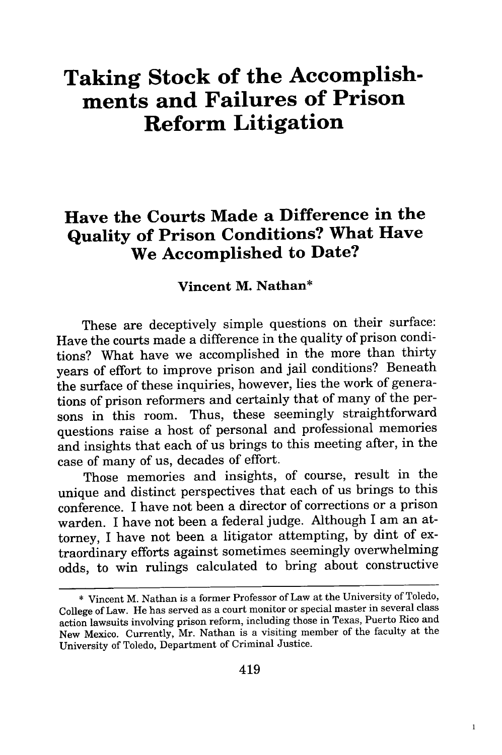## **Taking Stock of the Accomplishments and Failures of Prison Reform Litigation**

### **Have the Courts Made a Difference in the Quality of Prison Conditions? What Have We Accomplished to Date?**

#### **Vincent M. Nathan\***

These are deceptively simple questions on their surface: Have the courts made a difference in the quality of prison conditions? What have we accomplished in the more than thirty years of effort to improve prison and jail conditions? Beneath the surface of these inquiries, however, lies the work of generations of prison reformers and certainly that of many of the persons in this room. Thus, these seemingly straightforward questions raise a host of personal and professional memories and insights that each of us brings to this meeting after, in the case of many of us, decades of effort.

Those memories and insights, of course, result in the unique and distinct perspectives that each of us brings to this conference. I have not been a director of corrections or a prison warden. I have not been a federal judge. Although I am an attorney, I have not been a litigator attempting, by dint of extraordinary efforts against sometimes seemingly overwhelming odds, to win rulings calculated to bring about constructive

<sup>\*</sup> Vincent M. Nathan is a former Professor of Law at the University of Toledo, College of Law. He has served as a court monitor or special master in several class action lawsuits involving prison reform, including those in Texas, Puerto Rico and New Mexico. Currently, Mr. Nathan is a visiting member of the faculty at the University of Toledo, Department of Criminal Justice.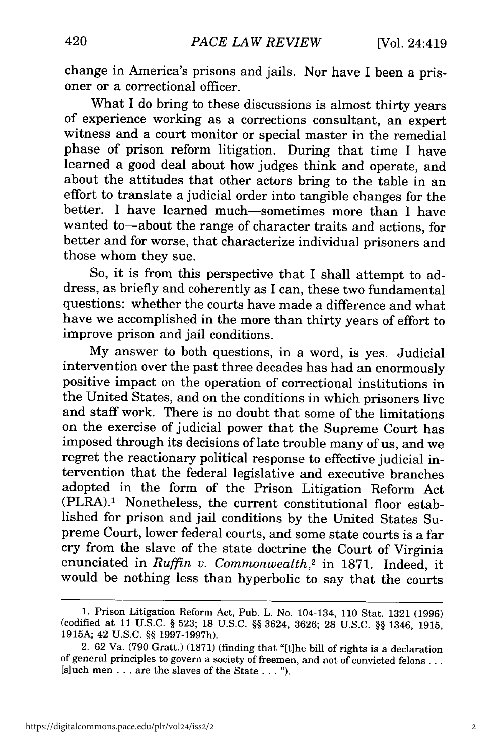change in America's prisons and jails. Nor have I been a prisoner or a correctional officer.

What I do bring to these discussions is almost thirty years of experience working as a corrections consultant, an expert witness and a court monitor or special master in the remedial phase of prison reform litigation. During that time I have learned a good deal about how judges think and operate, and about the attitudes that other actors bring to the table in an effort to translate a judicial order into tangible changes for the better. I have learned much-sometimes more than I have wanted to-about the range of character traits and actions, for better and for worse, that characterize individual prisoners and those whom they sue.

So, it is from this perspective that I shall attempt to address, as briefly and coherently as I can, these two fundamental questions: whether the courts have made a difference and what have we accomplished in the more than thirty years of effort to improve prison and jail conditions.

My answer to both questions, in a word, is yes. Judicial intervention over the past three decades has had an enormously positive impact on the operation of correctional institutions in the United States, and on the conditions in which prisoners live and staff work. There is no doubt that some of the limitations on the exercise of judicial power that the Supreme Court has imposed through its decisions of late trouble many of us, and we regret the reactionary political response to effective judicial intervention that the federal legislative and executive branches adopted in the form of the Prison Litigation Reform Act (PLRA).' Nonetheless, the current constitutional floor established for prison and jail conditions by the United States Supreme Court, lower federal courts, and some state courts is a far cry from the slave of the state doctrine the Court of Virginia enunciated in *Ruffin v. Commonwealth,2* in 1871. Indeed, it would be nothing less than hyperbolic to say that the courts

<sup>1.</sup> Prison Litigation Reform Act, Pub. L. No. 104-134, 110 Stat. 1321 (1996) (codified at 11 U.S.C. § 523; 18 U.S.C. §§ 3624, 3626; 28 U.S.C. §§ 1346, 1915, 1915A; 42 U.S.C. §§ 1997-1997h).

<sup>2. 62</sup> Va. (790 Gratt.) (1871) (finding that "[tihe bill of rights is a declaration of general principles to govern a society of freemen, and not of convicted felons **...** [such men . . . are the slaves of the State... **").**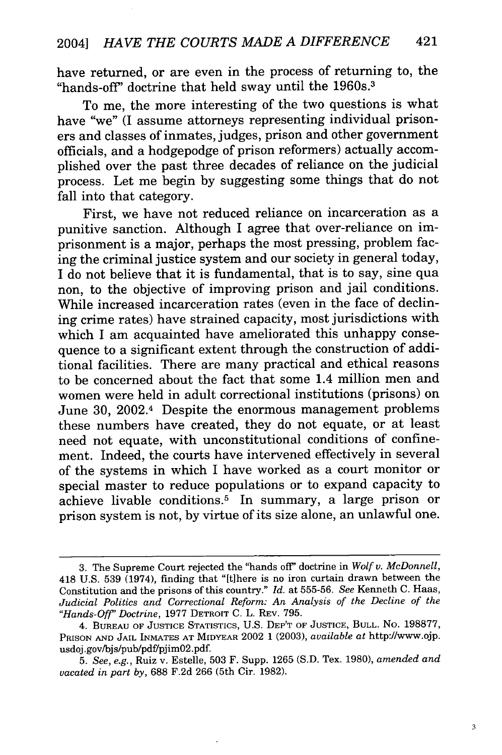have returned, or are even in the process of returning to, the "hands-off' doctrine that held sway until the 1960s.3

To me, the more interesting of the two questions is what have "we" (I assume attorneys representing individual prisoners and classes of inmates, judges, prison and other government officials, and a hodgepodge of prison reformers) actually accomplished over the past three decades of reliance on the judicial process. Let me begin by suggesting some things that do not fall into that category.

First, we have not reduced reliance on incarceration as a punitive sanction. Although I agree that over-reliance on imprisonment is a major, perhaps the most pressing, problem facing the criminal justice system and our society in general today, I do not believe that it is fundamental, that is to say, sine qua non, to the objective of improving prison and jail conditions. While increased incarceration rates (even in the face of declining crime rates) have strained capacity, most jurisdictions with which I am acquainted have ameliorated this unhappy consequence to a significant extent through the construction of additional facilities. There are many practical and ethical reasons to be concerned about the fact that some 1.4 million men and women were held in adult correctional institutions (prisons) on June 30, 2002.<sup>4</sup> Despite the enormous management problems these numbers have created, they do not equate, or at least need not equate, with unconstitutional conditions of confinement. Indeed, the courts have intervened effectively in several of the systems in which I have worked as a court monitor or special master to reduce populations or to expand capacity to achieve livable conditions.<sup>5</sup> In summary, a large prison or prison system is not, by virtue of its size alone, an unlawful one.

<sup>3.</sup> The Supreme Court rejected the "hands off' doctrine in *Wolf* v. *McDonnell,* 418 U.S. 539 (1974), finding that "[there is no iron curtain drawn between the Constitution and the prisons of this country." *Id.* at 555-56. *See* Kenneth C. Haas, *Judicial Politics and Correctional Reform: An Analysis of the Decline of the "Hands-Off' Doctrine,* 1977 DETROIT C. L. REV. 795.

<sup>4.</sup> **BUREAU** OF **JUSTICE** STATISTICS, U.S. DEP'T OF **JUSTICE, BULL.** No. 198877, PRISON **AND** JAIL INMATES **AT** MIDYEAR 2002 1 (2003), *available at* http://www.ojp. usdoj .gov/bjs/pub/pdf/pjim02.pdf.

*<sup>5.</sup> See, e.g.,* Ruiz v. Estelle, 503 F. Supp. 1265 (S.D. Tex. 1980), *amended and vacated in part by,* 688 F.2d 266 (5th Cir. 1982).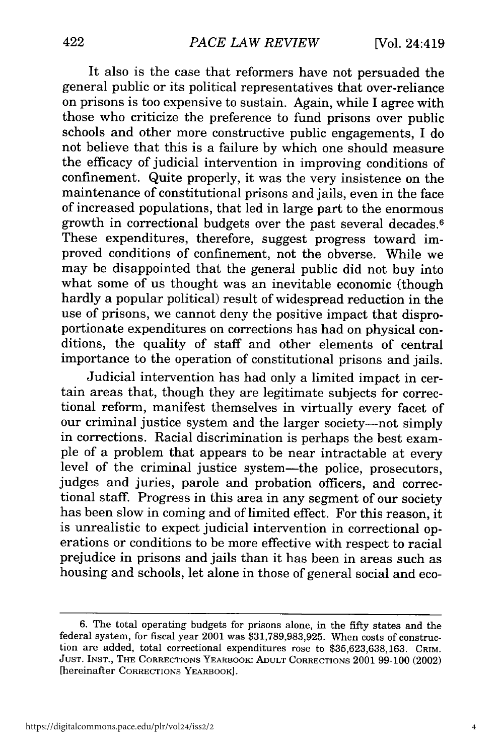It also is the case that reformers have not persuaded the general public or its political representatives that over-reliance on prisons is too expensive to sustain. Again, while I agree with those who criticize the preference to fund prisons over public schools and other more constructive public engagements, I do not believe that this is a failure by which one should measure the efficacy of judicial intervention in improving conditions of confinement. Quite properly, it was the very insistence on the maintenance of constitutional prisons and jails, even in the face of increased populations, that led in large part to the enormous growth in correctional budgets over the past several decades. <sup>6</sup> These expenditures, therefore, suggest progress toward improved conditions of confinement, not the obverse. While we may be disappointed that the general public did not buy into what some of us thought was an inevitable economic (though hardly a popular political) result of widespread reduction in the use of prisons, we cannot deny the positive impact that disproportionate expenditures on corrections has had on physical conditions, the quality of staff and other elements of central importance to the operation of constitutional prisons and jails.

Judicial intervention has had only a limited impact in certain areas that, though they are legitimate subjects for correctional reform, manifest themselves in virtually every facet of our criminal justice system and the larger society--not simply in corrections. Racial discrimination is perhaps the best example of a problem that appears to be near intractable at every level of the criminal justice system-the police, prosecutors, judges and juries, parole and probation officers, and correctional staff. Progress in this area in any segment of our society has been slow in coming and of limited effect. For this reason, it is unrealistic to expect judicial intervention in correctional operations or conditions to be more effective with respect to racial prejudice in prisons and jails than it has been in areas such as housing and schools, let alone in those of general social and eco-

<sup>6.</sup> The total operating budgets for prisons alone, in the fifty states and the federal system, for fiscal year 2001 was \$31,789,983,925. When costs of construction are added, total correctional expenditures rose to \$35,623,638,163. CRIM. **JUST. INST.,** THE CORRECTIONS YEARBOOK: **ADULT** CORRECTIONS 2001 99-100 (2002) [hereinafter CORRECTIONS YEARBOOK].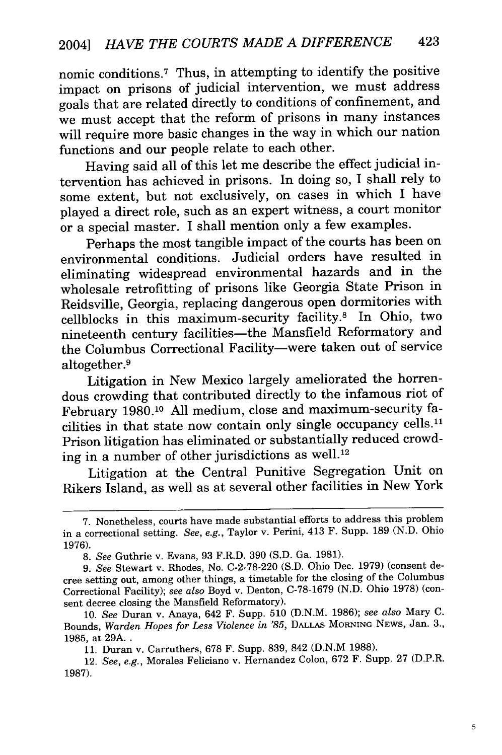nomic conditions.<sup>7</sup> Thus, in attempting to identify the positive impact on prisons of judicial intervention, we must address goals that are related directly to conditions of confinement, and we must accept that the reform of prisons in many instances will require more basic changes in the way in which our nation functions and our people relate to each other.

Having said all of this let me describe the effect judicial intervention has achieved in prisons. In doing so, I shall rely to some extent, but not exclusively, on cases in which I have played a direct role, such as an expert witness, a court monitor or a special master. I shall mention only a few examples.

Perhaps the most tangible impact of the courts has been on environmental conditions. Judicial orders have resulted in eliminating widespread environmental hazards and in the wholesale retrofitting of prisons like Georgia State Prison in Reidsville, Georgia, replacing dangerous open dormitories with cellblocks in this maximum-security facility.8 In Ohio, two nineteenth century facilities-the Mansfield Reformatory and the Columbus Correctional Facility-were taken out of service altogether.9

Litigation in New Mexico largely ameliorated the horrendous crowding that contributed directly to the infamous riot of February 1980.10 All medium, close and maximum-security facilities in that state now contain only single occupancy cells.<sup>11</sup> Prison litigation has eliminated or substantially reduced crowding in a number of other jurisdictions as well.<sup>12</sup>

Litigation at the Central Punitive Segregation Unit on Rikers Island, as well as at several other facilities in New York

<sup>7.</sup> Nonetheless, courts have made substantial efforts to address this problem in a correctional setting. *See, e.g.,* Taylor v. Perini, 413 F. Supp. 189 (N.D. Ohio 1976).

*<sup>8.</sup> See* Guthrie v. Evans, 93 F.R.D. 390 (S.D. Ga. 1981).

*<sup>9.</sup> See* Stewart v. Rhodes, No. C-2-78-220 (S.D. Ohio Dec. 1979) (consent decree setting out, among other things, a timetable for the closing of the Columbus Correctional Facility); *see also* Boyd v. Denton, C-78-1679 (N.D. Ohio 1978) (consent decree closing the Mansfield Reformatory).

<sup>10.</sup> *See* Duran v. Anaya, 642 F. Supp. 510 (D.N.M. 1986); *see also* Mary C. Bounds, *Warden Hopes for Less Violence in '85,* DALLAS **MORNING NEWS,** Jan. 3., 1985, at 29A..

<sup>11.</sup> Duran v. Carruthers, 678 F. Supp. 839, 842 (D.N.M 1988).

<sup>12.</sup> *See, e.g.,* Morales Feliciano v. Hernandez Colon, 672 F. Supp. 27 (D.P.R. 1987).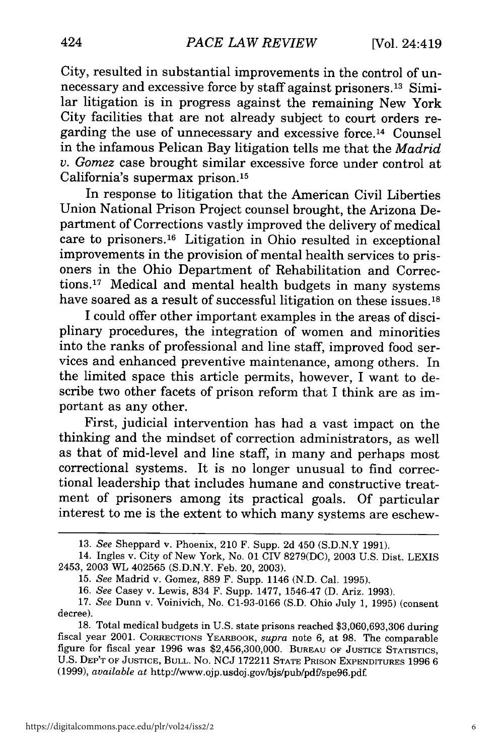City, resulted in substantial improvements in the control of unnecessary and excessive force by staff against prisoners. 13 Similar litigation is in progress against the remaining New York City facilities that are not already subject to court orders regarding the use of unnecessary and excessive force. 14 Counsel in the infamous Pelican Bay litigation tells me that the *Madrid v. Gomez* case brought similar excessive force under control at California's supermax prison. <sup>15</sup>

In response to litigation that the American Civil Liberties Union National Prison Project counsel brought, the Arizona Department of Corrections vastly improved the delivery of medical care to prisoners. 16 Litigation in Ohio resulted in exceptional improvements in the provision of mental health services to prisoners in the Ohio Department of Rehabilitation and Corrections.<sup>17</sup> Medical and mental health budgets in many systems have soared as a result of successful litigation on these issues.<sup>18</sup>

I could offer other important examples in the areas of disciplinary procedures, the integration of women and minorities into the ranks of professional and line staff, improved food services and enhanced preventive maintenance, among others. In the limited space this article permits, however, I want to describe two other facets of prison reform that I think are as important as any other.

First, judicial intervention has had a vast impact on the thinking and the mindset of correction administrators, as well as that of mid-level and line staff, in many and perhaps most correctional systems. It is no longer unusual to find correctional leadership that includes humane and constructive treatment of prisoners among its practical goals. Of particular interest to me is the extent to which many systems are eschew-

<sup>13.</sup> *See* Sheppard v. Phoenix, 210 F. Supp. 2d 450 (S.D.N.Y 1991).

<sup>14.</sup> Ingles v. City of New York, No. 01 CIV 8279(DC), 2003 U.S. Dist. LEXIS 2453, 2003 WL 402565 (S.D.N.Y. Feb. 20, 2003).

<sup>15.</sup> *See* Madrid v. Gomez, 889 F. Supp. 1146 (N.D. Cal. 1995).

<sup>16.</sup> *See* Casey v. Lewis, 834 F. Supp. 1477, 1546-47 (D. Ariz. 1993).

<sup>17.</sup> *See* Dunn v. Voinivich, No. C1-93-0166 (S.D. Ohio July 1, 1995) (consent decree).

<sup>18.</sup> Total medical budgets in U.S. state prisons reached \$3,060,693,306 during fiscal year 2001. CORRECTIONS YEARBOOK, *supra* note 6, at 98. The comparable figure for fiscal year 1996 was \$2,456,300,000. **BUREAU** OF **JUSTICE** STATISTICS, U.S. DEP'T OF **JUSTICE, BULL.** No. NCJ 172211 **STATE** PRISON **EXPENDITURES** 1996 6 (1999), *available at* http://www.ojp.usdoj.gov/bjs/pub/pdf/spe96.pdf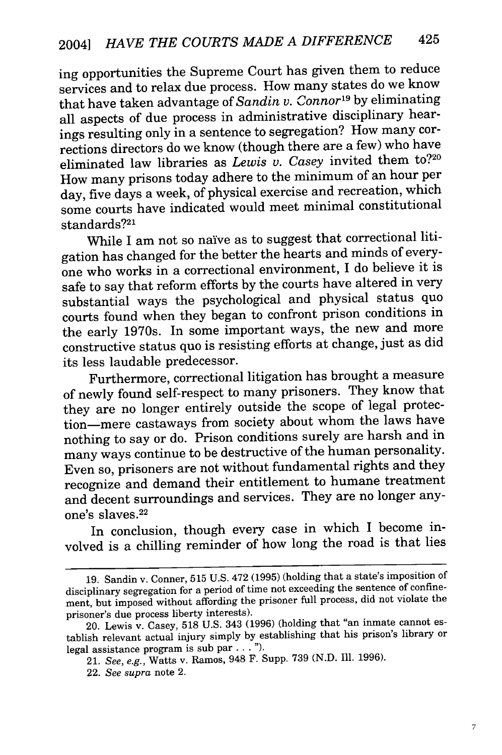ing opportunities the Supreme Court has given them to reduce services and to relax due process. How many states do we know that have taken advantage of *Sandin v. Connor'9* by eliminating all aspects of due process in administrative disciplinary hearings resulting only in a sentence to segregation? How many corrections directors do we know (though there are a few) who have eliminated law libraries as *Lewis v. Casey* invited them to?<sup>20</sup> How many prisons today adhere to the minimum of an hour per day, five days a week, of physical exercise and recreation, which some courts have indicated would meet minimal constitutional standards?21

While I am not so naive as to suggest that correctional litigation has changed for the better the hearts and minds of everyone who works in a correctional environment, I do believe it is safe to say that reform efforts by the courts have altered in very substantial ways the psychological and physical status quo courts found when they began to confront prison conditions in the early 1970s. In some important ways, the new and more constructive status quo is resisting efforts at change, just as did its less laudable predecessor.

Furthermore, correctional litigation has brought a measure of newly found self-respect to many prisoners. They know that they are no longer entirely outside the scope of legal protection-mere castaways from society about whom the laws have nothing to say or do. Prison conditions surely are harsh and in many ways continue to be destructive of the human personality. Even so, prisoners are not without fundamental rights and they recognize and demand their entitlement to humane treatment and decent surroundings and services. They are no longer anyone's slaves. <sup>22</sup>

In conclusion, though every case in which I become involved is a chilling reminder of how long the road is that lies

<sup>19.</sup> Sandin v. Conner, 515 U.S. 472 (1995) (holding that a state's imposition of disciplinary segregation for a period of time not exceeding the sentence of confinement, but imposed without affording the prisoner full process, did not violate the prisoner's due process liberty interests).

<sup>20.</sup> Lewis v. Casey, 518 U.S. 343 (1996) (holding that "an inmate cannot establish relevant actual injury simply by establishing that his prison's library or legal assistance program is sub **par... ").**

<sup>21.</sup> *See, e.g.,* Watts v. Ramos, 948 F. Supp. 739 (N.D. Ill. 1996).

<sup>22.</sup> *See supra* note 2.